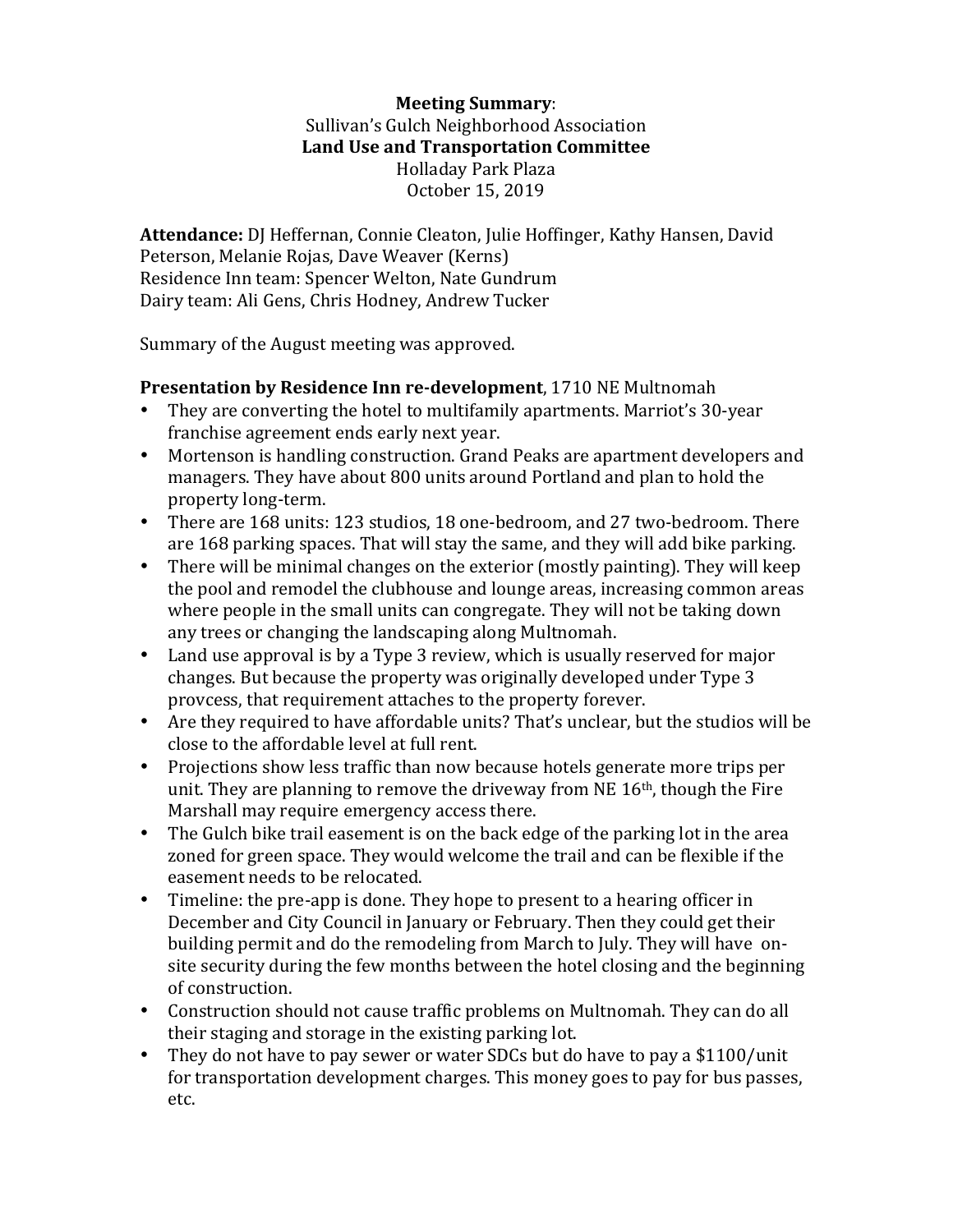## **Meeting Summary**: Sullivan's Gulch Neighborhood Association Land Use and Transportation Committee Holladay Park Plaza October 15, 2019

Attendance: DJ Heffernan, Connie Cleaton, Julie Hoffinger, Kathy Hansen, David Peterson, Melanie Rojas, Dave Weaver (Kerns) Residence Inn team: Spencer Welton, Nate Gundrum Dairy team: Ali Gens, Chris Hodney, Andrew Tucker

Summary of the August meeting was approved.

## **Presentation by Residence Inn re-development**, 1710 NE Multnomah

- They are converting the hotel to multifamily apartments. Marriot's 30-year franchise agreement ends early next year.
- Mortenson is handling construction. Grand Peaks are apartment developers and managers. They have about 800 units around Portland and plan to hold the property long-term.
- There are 168 units: 123 studios, 18 one-bedroom, and 27 two-bedroom. There are 168 parking spaces. That will stay the same, and they will add bike parking.
- There will be minimal changes on the exterior (mostly painting). They will keep the pool and remodel the clubhouse and lounge areas, increasing common areas where people in the small units can congregate. They will not be taking down any trees or changing the landscaping along Multnomah.
- Land use approval is by a Type 3 review, which is usually reserved for major changes. But because the property was originally developed under Type 3 provcess, that requirement attaches to the property forever.
- Are they required to have affordable units? That's unclear, but the studios will be close to the affordable level at full rent.
- Projections show less traffic than now because hotels generate more trips per unit. They are planning to remove the driveway from NE  $16<sup>th</sup>$ , though the Fire Marshall may require emergency access there.
- The Gulch bike trail easement is on the back edge of the parking lot in the area zoned for green space. They would welcome the trail and can be flexible if the easement needs to be relocated.
- Timeline: the pre-app is done. They hope to present to a hearing officer in December and City Council in January or February. Then they could get their building permit and do the remodeling from March to July. They will have onsite security during the few months between the hotel closing and the beginning of construction.
- Construction should not cause traffic problems on Multnomah. They can do all their staging and storage in the existing parking lot.
- They do not have to pay sewer or water SDCs but do have to pay a \$1100/unit for transportation development charges. This money goes to pay for bus passes, etc.